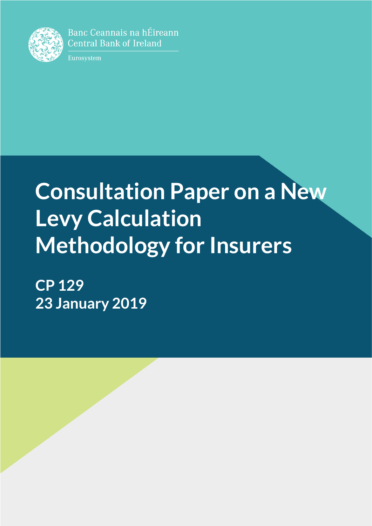

Banc Ceannais na hÉireann **Central Bank of Ireland** 

Eurosystem

# **Consultation Paper on a New Levy Calculation Methodology for Insurers**

**CP 129 23 January 2019**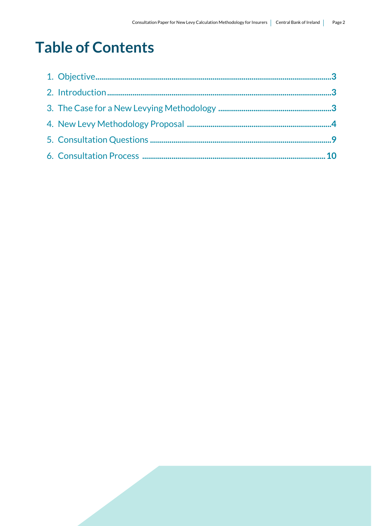# **Table of Contents**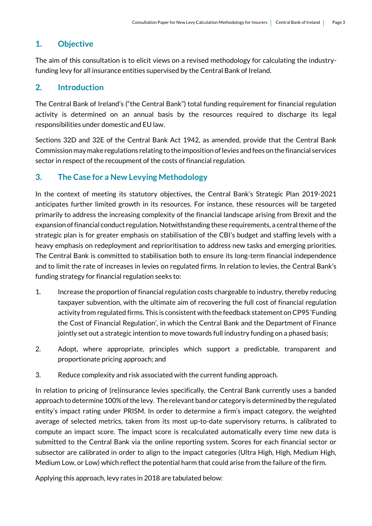# **1. Objective**

The aim of this consultation is to elicit views on a revised methodology for calculating the industryfunding levy for all insurance entities supervised by the Central Bank of Ireland.

# **2. Introduction**

The Central Bank of Ireland's ("the Central Bank") total funding requirement for financial regulation activity is determined on an annual basis by the resources required to discharge its legal responsibilities under domestic and EU law.

Sections 32D and 32E of the Central Bank Act 1942, as amended, provide that the Central Bank Commission may make regulations relating to the imposition of levies and fees on the financial services sector in respect of the recoupment of the costs of financial regulation.

# **3. The Case for a New Levying Methodology**

In the context of meeting its statutory objectives, the Central Bank's Strategic Plan 2019-2021 anticipates further limited growth in its resources. For instance, these resources will be targeted primarily to address the increasing complexity of the financial landscape arising from Brexit and the expansion of financial conduct regulation. Notwithstanding these requirements, a central theme of the strategic plan is for greater emphasis on stabilisation of the CBI's budget and staffing levels with a heavy emphasis on redeployment and reprioritisation to address new tasks and emerging priorities. The Central Bank is committed to stabilisation both to ensure its long-term financial independence and to limit the rate of increases in levies on regulated firms. In relation to levies, the Central Bank's funding strategy for financial regulation seeks to:

- 1. Increase the proportion of financial regulation costs chargeable to industry, thereby reducing taxpayer subvention, with the ultimate aim of recovering the full cost of financial regulation activity from regulated firms. This is consistent with the feedback statement on CP95 'Funding the Cost of Financial Regulation', in which the Central Bank and the Department of Finance jointly set out a strategic intention to move towards full industry funding on a phased basis;
- 2. Adopt, where appropriate, principles which support a predictable, transparent and proportionate pricing approach; and
- 3. Reduce complexity and risk associated with the current funding approach.

In relation to pricing of (re)insurance levies specifically, the Central Bank currently uses a banded approach to determine 100% of the levy. The relevant band or category is determined by the regulated entity's impact rating under PRISM. In order to determine a firm's impact category, the weighted average of selected metrics, taken from its most up-to-date supervisory returns, is calibrated to compute an impact score. The impact score is recalculated automatically every time new data is submitted to the Central Bank via the online reporting system. Scores for each financial sector or subsector are calibrated in order to align to the impact categories (Ultra High, High, Medium High, Medium Low, or Low) which reflect the potential harm that could arise from the failure of the firm.

Applying this approach, levy rates in 2018 are tabulated below: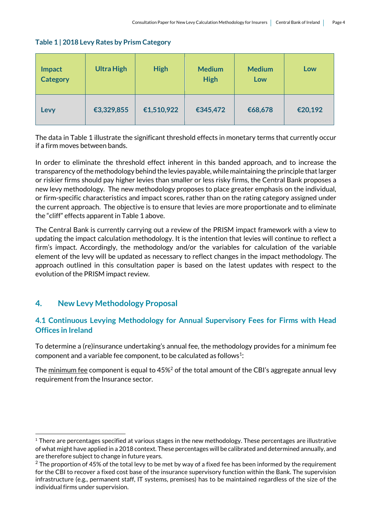#### **Table 1 | 2018 Levy Rates by Prism Category**

| <b>Impact</b>   | <b>Ultra High</b> |            | <b>Medium</b> | <b>Medium</b> | Low     |  |  |
|-----------------|-------------------|------------|---------------|---------------|---------|--|--|
| <b>Category</b> | <b>High</b>       |            | <b>High</b>   | Low           |         |  |  |
| Levy            | €3,329,855        | €1,510,922 | €345,472      | €68,678       | €20,192 |  |  |

The data in Table 1 illustrate the significant threshold effects in monetary terms that currently occur if a firm moves between bands.

In order to eliminate the threshold effect inherent in this banded approach, and to increase the transparency of the methodology behind the levies payable, while maintaining the principle that larger or riskier firms should pay higher levies than smaller or less risky firms, the Central Bank proposes a new levy methodology. The new methodology proposes to place greater emphasis on the individual, or firm-specific characteristics and impact scores, rather than on the rating category assigned under the current approach. The objective is to ensure that levies are more proportionate and to eliminate the "cliff" effects apparent in Table 1 above.

The Central Bank is currently carrying out a review of the PRISM impact framework with a view to updating the impact calculation methodology. It is the intention that levies will continue to reflect a firm's impact. Accordingly, the methodology and/or the variables for calculation of the variable element of the levy will be updated as necessary to reflect changes in the impact methodology. The approach outlined in this consultation paper is based on the latest updates with respect to the evolution of the PRISM impact review.

# **4. New Levy Methodology Proposal**

.

### **4.1 Continuous Levying Methodology for Annual Supervisory Fees for Firms with Head Offices in Ireland**

To determine a (re)insurance undertaking's annual fee, the methodology provides for a minimum fee component and a variable fee component, to be calculated as follows<sup>1</sup>:

The minimum fee component is equal to 45%<sup>2</sup> of the total amount of the CBI's aggregate annual levy requirement from the Insurance sector.

 $1$  There are percentages specified at various stages in the new methodology. These percentages are illustrative of what might have applied in a 2018 context. These percentages will be calibrated and determined annually, and are therefore subject to change in future years.

<sup>&</sup>lt;sup>2</sup> The proportion of 45% of the total levy to be met by way of a fixed fee has been informed by the requirement for the CBI to recover a fixed cost base of the insurance supervisory function within the Bank. The supervision infrastructure (e.g., permanent staff, IT systems, premises) has to be maintained regardless of the size of the individual firms under supervision.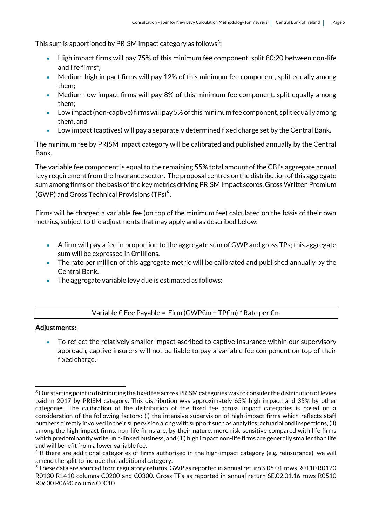This sum is apportioned by PRISM impact category as follows $3$ :

- High impact firms will pay 75% of this minimum fee component, split 80:20 between non-life and life firms<sup>4</sup>;
- Medium high impact firms will pay 12% of this minimum fee component, split equally among them;
- Medium low impact firms will pay 8% of this minimum fee component, split equally among them;
- Low impact (non-captive) firms will pay 5% of this minimum fee component, split equally among them, and
- Low impact (captives) will pay a separately determined fixed charge set by the Central Bank.

The minimum fee by PRISM impact category will be calibrated and published annually by the Central Bank.

The variable fee component is equal to the remaining 55% total amount of the CBI's aggregate annual levy requirement from the Insurance sector. The proposal centres on the distribution of this aggregate sum among firms on the basis of the key metrics driving PRISM Impact scores, Gross Written Premium (GWP) and Gross Technical Provisions (TPs)<sup>5</sup>.

Firms will be charged a variable fee (on top of the minimum fee) calculated on the basis of their own metrics, subject to the adjustments that may apply and as described below:

- A firm will pay a fee in proportion to the aggregate sum of GWP and gross TPs; this aggregate sum will be expressed in €millions.
- The rate per million of this aggregate metric will be calibrated and published annually by the Central Bank.
- The aggregate variable levy due is estimated as follows:

#### Variable € Fee Payable = Firm (GWP€m + TP€m) \* Rate per €m

#### **Adjustments:**

 To reflect the relatively smaller impact ascribed to captive insurance within our supervisory approach, captive insurers will not be liable to pay a variable fee component on top of their fixed charge.

<sup>1</sup>  $3$  Our starting point in distributing the fixed fee across PRISM categories was to consider the distribution of levies paid in 2017 by PRISM category. This distribution was approximately 65% high impact, and 35% by other categories. The calibration of the distribution of the fixed fee across impact categories is based on a consideration of the following factors: (i) the intensive supervision of high-impact firms which reflects staff numbers directly involved in their supervision along with support such as analytics, actuarial and inspections, (ii) among the high-impact firms, non-life firms are, by their nature, more risk-sensitive compared with life firms which predominantly write unit-linked business, and (iii) high impact non-life firms are generally smaller than life and will benefit from a lower variable fee.

<sup>4</sup> If there are additional categories of firms authorised in the high-impact category (e.g. reinsurance), we will amend the split to include that additional category.

<sup>5</sup> These data are sourced from regulatory returns. GWP as reported in annual return S.05.01 rows R0110 R0120 R0130 R1410 columns C0200 and C0300. Gross TPs as reported in annual return SE.02.01.16 rows R0510 R0600 R0690 column C0010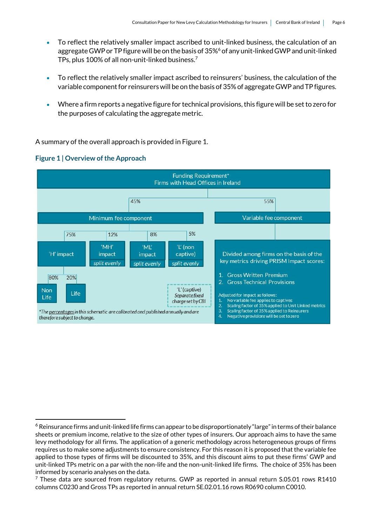- To reflect the relatively smaller impact ascribed to unit-linked business, the calculation of an aggregate GWP or TP figure will be on the basis of 35%<sup>6</sup> of any unit-linked GWP and unit-linked TPs, plus 100% of all non-unit-linked business.<sup>7</sup>
- To reflect the relatively smaller impact ascribed to reinsurers' business, the calculation of the variable component for reinsurers will be on the basis of 35% of aggregate GWP and TP figures.
- Where a firm reports a negative figure for technical provisions, this figure will be set to zero for the purposes of calculating the aggregate metric.

A summary of the overall approach is provided in Figure 1.



#### **Figure 1 | Overview of the Approach**

1

<sup>&</sup>lt;sup>6</sup> Reinsurance firms and unit-linked life firms can appear to be disproportionately "large" in terms of their balance sheets or premium income, relative to the size of other types of insurers. Our approach aims to have the same levy methodology for all firms. The application of a generic methodology across heterogeneous groups of firms requires us to make some adjustments to ensure consistency. For this reason it is proposed that the variable fee applied to those types of firms will be discounted to 35%, and this discount aims to put these firms' GWP and unit-linked TPs metric on a par with the non-life and the non-unit-linked life firms. The choice of 35% has been informed by scenario analyses on the data.

 $7$  These data are sourced from regulatory returns. GWP as reported in annual return S.05.01 rows R1410 columns C0230 and Gross TPs as reported in annual return SE.02.01.16 rows R0690 column C0010.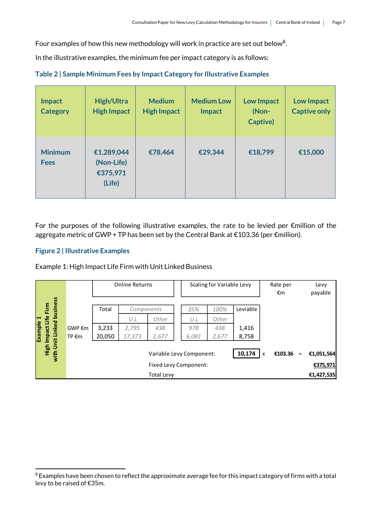Four examples of how this new methodology will work in practice are set out below<sup>8</sup>.

In the illustrative examples, the minimum fee per impact category is as follows:

|  |  |  |  | Table 2   Sample Minimum Fees by Impact Category for Illustrative Examples |
|--|--|--|--|----------------------------------------------------------------------------|
|--|--|--|--|----------------------------------------------------------------------------|

| <b>Impact</b><br><b>Category</b> | <b>High/Ultra</b><br><b>High Impact</b>        | <b>Medium</b><br><b>High Impact</b> | <b>Medium Low</b><br><b>Impact</b> | <b>Low Impact</b><br>(Non-<br>Captive) | <b>Low Impact</b><br><b>Captive only</b> |
|----------------------------------|------------------------------------------------|-------------------------------------|------------------------------------|----------------------------------------|------------------------------------------|
| <b>Minimum</b><br><b>Fees</b>    | €1,289,044<br>(Non-Life)<br>€375,971<br>(Life) | €78,464                             | €29,344                            | €18,799                                | €15,000                                  |

For the purposes of the following illustrative examples, the rate to be levied per €million of the aggregate metric of GWP + TP has been set by the Central Bank at €103.36 (per €million).

#### **Figure 2 | Illustrative Examples**

Example 1: High Impact Life Firm with Unit Linked Business

|                            |        |        | <b>Online Returns</b> |                          |       | Scaling for Variable Levy |          |             | Rate per<br>€m |          | Levy<br>payable                                                                                                              |
|----------------------------|--------|--------|-----------------------|--------------------------|-------|---------------------------|----------|-------------|----------------|----------|------------------------------------------------------------------------------------------------------------------------------|
| with Unit Linked business  |        |        |                       |                          |       |                           |          |             |                |          |                                                                                                                              |
| High Impact Life Firm      |        | Total  | Components            |                          | 35%   | 100%                      | Leviable |             |                |          |                                                                                                                              |
|                            |        |        | U.L                   | Other                    | U.L   | Other                     |          |             |                |          |                                                                                                                              |
|                            | GWP €m | 3,233  | 2,795                 | 438                      | 978   | 438                       | 1,416    |             |                |          |                                                                                                                              |
| Example 1                  | TP €m  | 20,050 | 17,373                | 2,677                    | 6,081 | 2,677                     | 8,758    |             |                |          |                                                                                                                              |
|                            |        |        |                       |                          |       |                           |          |             |                |          |                                                                                                                              |
|                            |        |        |                       | Variable Levy Component: |       |                           | 10,174   | $\mathbf x$ | €103.36        | $\equiv$ | €1,051,564                                                                                                                   |
|                            |        |        |                       | Fixed Levy Component:    |       |                           |          |             |                |          | €375,971                                                                                                                     |
|                            |        |        |                       | <b>Total Levy</b>        |       |                           |          |             |                |          | €1,427,535                                                                                                                   |
|                            |        |        |                       |                          |       |                           |          |             |                |          |                                                                                                                              |
| levy to be raised of €35m. |        |        |                       |                          |       |                           |          |             |                |          | <sup>8</sup> Examples have been chosen to reflect the approximate average fee for this impact category of firms with a total |

<sup>&</sup>lt;sup>8</sup> Examples have been chosen to reflect the approximate average fee for this impact category of firms with a total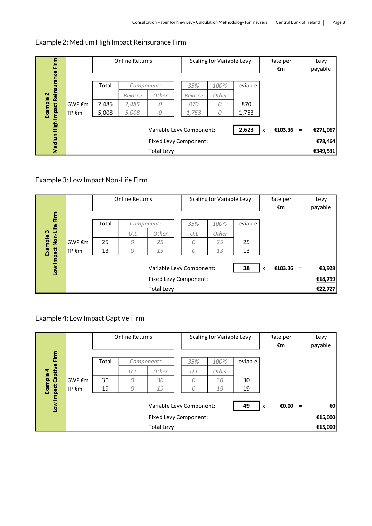| Eirm                 |                 |                  | <b>Online Returns</b> |                   |                                                   |       | Scaling for Variable Levy |                           |           | Rate per<br>€m      | Levy<br>payable |
|----------------------|-----------------|------------------|-----------------------|-------------------|---------------------------------------------------|-------|---------------------------|---------------------------|-----------|---------------------|-----------------|
| Reinsurance          |                 | Total            | Components            |                   |                                                   | 35%   | 100%                      | Leviable                  |           |                     |                 |
| $\mathbf{\tilde{c}}$ |                 | Other<br>Reinsce |                       | Reinsce           | Other                                             |       |                           |                           |           |                     |                 |
| Example              | GWP €m          | 2,485            | 2,485                 | $\Omega$          |                                                   | 870   | 0                         | 870                       |           |                     |                 |
| <b>Impact</b>        | TP $\epsilon$ m | 5,008            | 5,008                 | 0                 |                                                   | 1,753 | 0                         | 1,753                     |           |                     |                 |
| Mediun High          |                 |                  |                       |                   | Variable Levy Component:<br>Fixed Levy Component: |       | 2,623                     | $\boldsymbol{\mathsf{x}}$ | €103.36 = | €271,067<br>€78,464 |                 |
|                      |                 |                  |                       | <b>Total Levy</b> |                                                   |       |                           |                           |           |                     | €349,531        |

# Example 2: Medium High Impact Reinsurance Firm

# Example 3: Low Impact Non-Life Firm

| Firm                 |                 |                                | <b>Online Returns</b> |                       |  |     | Scaling for Variable Levy |          |  | Rate per<br>€m |           | Levy<br>payable |
|----------------------|-----------------|--------------------------------|-----------------------|-----------------------|--|-----|---------------------------|----------|--|----------------|-----------|-----------------|
|                      |                 | Total                          |                       | Components            |  | 35% | 100%                      | Leviable |  |                |           |                 |
| Life<br>$\mathbf{m}$ |                 |                                | U.L                   | Other                 |  | U.L | Other                     |          |  |                |           |                 |
| Example              | GWP €m          | 25                             | 0                     | 25                    |  | 0   | 25                        | 25       |  |                |           |                 |
|                      | TP $\epsilon$ m | 13                             | 0                     | 13                    |  | 0   | 13                        | 13       |  |                |           |                 |
| Low Impact Non-      |                 | 38<br>Variable Levy Component: |                       |                       |  |     |                           |          |  |                | €103.36 = | €3,928          |
|                      |                 |                                |                       | Fixed Levy Component: |  |     |                           |          |  |                |           | €18,799         |
|                      |                 |                                |                       | <b>Total Levy</b>     |  |     |                           |          |  |                |           | €22,727         |

# Example 4: Low Impact Captive Firm

|                      |                        |                           |            | <b>Online Returns</b> |    |     | Scaling for Variable Levy |          |  |  |  | Levy<br>payable |
|----------------------|------------------------|---------------------------|------------|-----------------------|----|-----|---------------------------|----------|--|--|--|-----------------|
| Firm                 |                        | Total                     | Components |                       |    | 35% | 100%                      | Leviable |  |  |  |                 |
| $\blacktriangleleft$ |                        |                           | U.L        | Other                 |    | U.L | Other                     |          |  |  |  |                 |
| Example              | $GWP \in \mathfrak{m}$ | 30                        | 0          | 30                    |    | 0   | 30                        | 30       |  |  |  |                 |
|                      | TP $\epsilon$ m        | 19                        | 0          | 19                    |    | 0   | 19                        | 19       |  |  |  |                 |
| Low Impact Captive   |                        | $\boldsymbol{\mathsf{x}}$ | €0.00      | $=$                   | €0 |     |                           |          |  |  |  |                 |
|                      |                        |                           |            |                       |    |     | €15,000                   |          |  |  |  |                 |
|                      |                        |                           |            | <b>Total Levy</b>     |    |     |                           |          |  |  |  | €15,000         |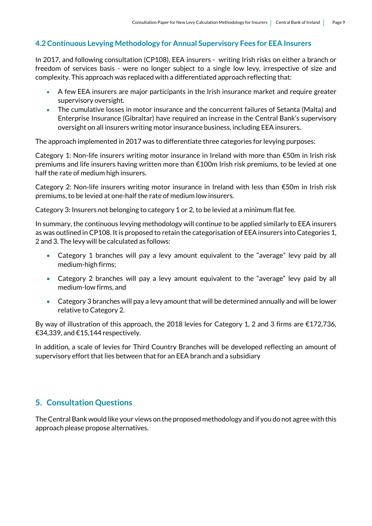# **4.2 Continuous Levying Methodology for Annual Supervisory Fees for EEA Insurers**

In 2017, and following consultation (CP108), EEA insurers - writing Irish risks on either a branch or freedom of services basis - were no longer subject to a single low levy, irrespective of size and complexity. This approach was replaced with a differentiated approach reflecting that:

- A few EEA insurers are major participants in the Irish insurance market and require greater supervisory oversight.
- The cumulative losses in motor insurance and the concurrent failures of Setanta (Malta) and Enterprise Insurance (Gibraltar) have required an increase in the Central Bank's supervisory oversight on all insurers writing motor insurance business, including EEA insurers.

The approach implemented in 2017 was to differentiate three categories for levying purposes:

Category 1: Non-life insurers writing motor insurance in Ireland with more than  $\epsilon$ 50m in Irish risk premiums and life insurers having written more than €100m Irish risk premiums, to be levied at one half the rate of medium high insurers.

Category 2: Non-life insurers writing motor insurance in Ireland with less than €50m in Irish risk premiums, to be levied at one-half the rate of medium low insurers.

Category 3: Insurers not belonging to category 1 or 2, to be levied at a minimum flat fee.

In summary, the continuous levying methodology will continue to be applied similarly to EEA insurers as was outlined in CP108. It is proposed to retain the categorisation of EEA insurers into Categories 1, 2 and 3. The levy will be calculated as follows:

- Category 1 branches will pay a levy amount equivalent to the "average" levy paid by all medium-high firms;
- Category 2 branches will pay a levy amount equivalent to the "average" levy paid by all medium-low firms, and
- Category 3 branches will pay a levy amount that will be determined annually and will be lower relative to Category 2.

By way of illustration of this approach, the 2018 levies for Category 1, 2 and 3 firms are €172,736, €34,339, and €15,144 respectively.

In addition, a scale of levies for Third Country Branches will be developed reflecting an amount of supervisory effort that lies between that for an EEA branch and a subsidiary

# **5. Consultation Questions**

The Central Bank would like your views on the proposed methodology and if you do not agree with this approach please propose alternatives.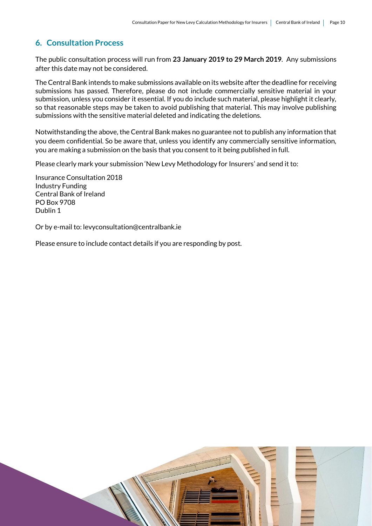# **6. Consultation Process**

The public consultation process will run from **23 January 2019 to 29 March 2019**. Any submissions after this date may not be considered.

The Central Bank intends to make submissions available on its website after the deadline for receiving submissions has passed. Therefore, please do not include commercially sensitive material in your submission, unless you consider it essential. If you do include such material, please highlight it clearly, so that reasonable steps may be taken to avoid publishing that material. This may involve publishing submissions with the sensitive material deleted and indicating the deletions.

Notwithstanding the above, the Central Bank makes no guarantee not to publish any information that you deem confidential. So be aware that, unless you identify any commercially sensitive information, you are making a submission on the basis that you consent to it being published in full.

Please clearly mark your submission 'New Levy Methodology for Insurers' and send it to:

Insurance Consultation 2018 Industry Funding Central Bank of Ireland PO Box 9708 Dublin 1

Or by e-mail to: levyconsultation@centralbank.ie

Please ensure to include contact details if you are responding by post.